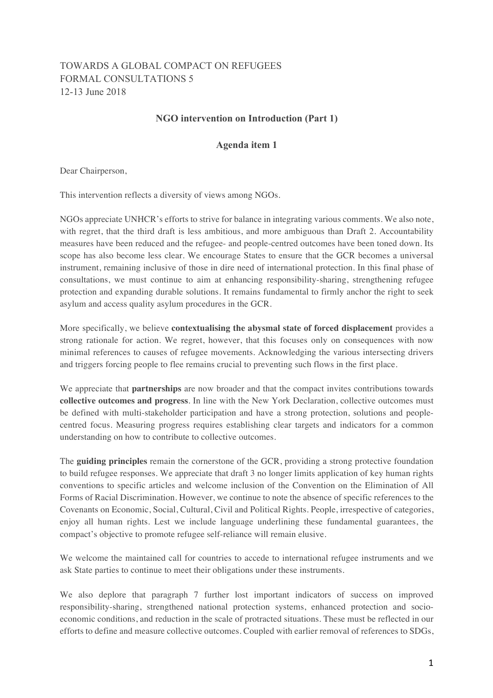## TOWARDS A GLOBAL COMPACT ON REFUGEES FORMAL CONSULTATIONS 5 12-13 June 2018

## **NGO intervention on Introduction (Part 1)**

## **Agenda item 1**

Dear Chairperson,

This intervention reflects a diversity of views among NGOs.

NGOs appreciate UNHCR's efforts to strive for balance in integrating various comments. We also note, with regret, that the third draft is less ambitious, and more ambiguous than Draft 2. Accountability measures have been reduced and the refugee- and people-centred outcomes have been toned down. Its scope has also become less clear. We encourage States to ensure that the GCR becomes a universal instrument, remaining inclusive of those in dire need of international protection. In this final phase of consultations, we must continue to aim at enhancing responsibility-sharing, strengthening refugee protection and expanding durable solutions. It remains fundamental to firmly anchor the right to seek asylum and access quality asylum procedures in the GCR.

More specifically, we believe **contextualising the abysmal state of forced displacement** provides a strong rationale for action. We regret, however, that this focuses only on consequences with now minimal references to causes of refugee movements. Acknowledging the various intersecting drivers and triggers forcing people to flee remains crucial to preventing such flows in the first place.

We appreciate that **partnerships** are now broader and that the compact invites contributions towards **collective outcomes and progress**. In line with the New York Declaration, collective outcomes must be defined with multi-stakeholder participation and have a strong protection, solutions and peoplecentred focus. Measuring progress requires establishing clear targets and indicators for a common understanding on how to contribute to collective outcomes.

The **guiding principles** remain the cornerstone of the GCR, providing a strong protective foundation to build refugee responses. We appreciate that draft 3 no longer limits application of key human rights conventions to specific articles and welcome inclusion of the Convention on the Elimination of All Forms of Racial Discrimination. However, we continue to note the absence of specific references to the Covenants on Economic, Social, Cultural, Civil and Political Rights. People, irrespective of categories, enjoy all human rights. Lest we include language underlining these fundamental guarantees, the compact's objective to promote refugee self-reliance will remain elusive.

We welcome the maintained call for countries to accede to international refugee instruments and we ask State parties to continue to meet their obligations under these instruments.

We also deplore that paragraph 7 further lost important indicators of success on improved responsibility-sharing, strengthened national protection systems, enhanced protection and socioeconomic conditions, and reduction in the scale of protracted situations. These must be reflected in our efforts to define and measure collective outcomes. Coupled with earlier removal of references to SDGs,